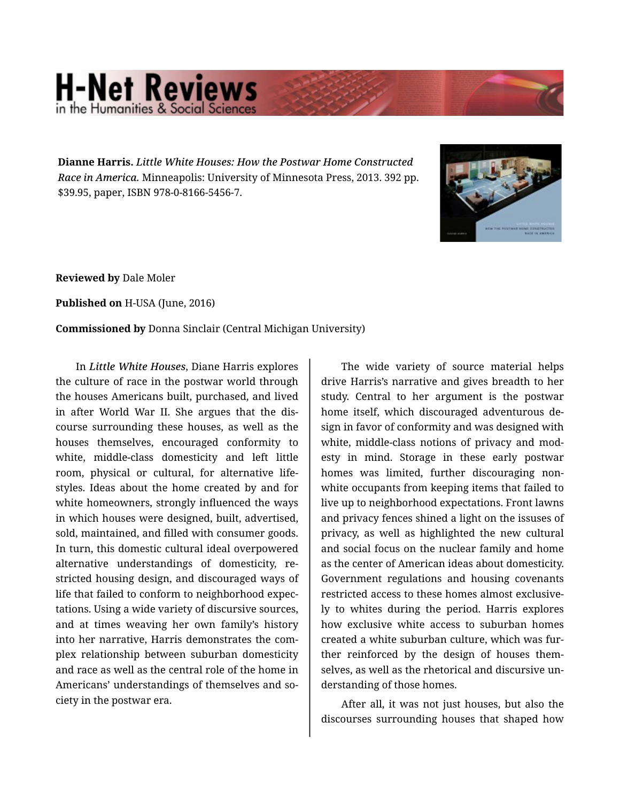## **H-Net Reviews** in the Humanities & Social S

**Dianne Harris.** *Little White Houses: How the Postwar Home Constructed Race in America.* Minneapolis: University of Minnesota Press, 2013. 392 pp. \$39.95, paper, ISBN 978-0-8166-5456-7.



**Reviewed by** Dale Moler

**Published on** H-USA (June, 2016)

## **Commissioned by** Donna Sinclair (Central Michigan University)

In *Little White Houses*, Diane Harris explores the culture of race in the postwar world through the houses Americans built, purchased, and lived in after World War II. She argues that the dis‐ course surrounding these houses, as well as the houses themselves, encouraged conformity to white, middle-class domesticity and left little room, physical or cultural, for alternative lifestyles. Ideas about the home created by and for white homeowners, strongly influenced the ways in which houses were designed, built, advertised, sold, maintained, and filled with consumer goods. In turn, this domestic cultural ideal overpowered alternative understandings of domesticity, re‐ stricted housing design, and discouraged ways of life that failed to conform to neighborhood expec‐ tations. Using a wide variety of discursive sources, and at times weaving her own family's history into her narrative, Harris demonstrates the com‐ plex relationship between suburban domesticity and race as well as the central role of the home in Americans' understandings of themselves and so‐ ciety in the postwar era.

The wide variety of source material helps drive Harris's narrative and gives breadth to her study. Central to her argument is the postwar home itself, which discouraged adventurous de‐ sign in favor of conformity and was designed with white, middle-class notions of privacy and modesty in mind. Storage in these early postwar homes was limited, further discouraging non‐ white occupants from keeping items that failed to live up to neighborhood expectations. Front lawns and privacy fences shined a light on the issuses of privacy, as well as highlighted the new cultural and social focus on the nuclear family and home as the center of American ideas about domesticity. Government regulations and housing covenants restricted access to these homes almost exclusive‐ ly to whites during the period. Harris explores how exclusive white access to suburban homes created a white suburban culture, which was fur‐ ther reinforced by the design of houses them‐ selves, as well as the rhetorical and discursive un‐ derstanding of those homes.

After all, it was not just houses, but also the discourses surrounding houses that shaped how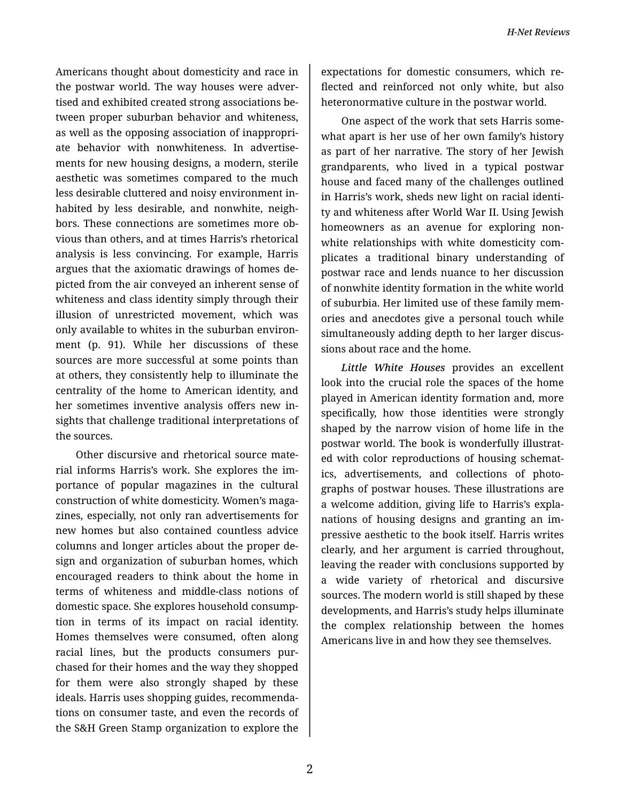Americans thought about domesticity and race in the postwar world. The way houses were adver‐ tised and exhibited created strong associations be‐ tween proper suburban behavior and whiteness, as well as the opposing association of inappropri‐ ate behavior with nonwhiteness. In advertise‐ ments for new housing designs, a modern, sterile aesthetic was sometimes compared to the much less desirable cluttered and noisy environment in‐ habited by less desirable, and nonwhite, neigh‐ bors. These connections are sometimes more ob‐ vious than others, and at times Harris's rhetorical analysis is less convincing. For example, Harris argues that the axiomatic drawings of homes de‐ picted from the air conveyed an inherent sense of whiteness and class identity simply through their illusion of unrestricted movement, which was only available to whites in the suburban environ‐ ment (p. 91). While her discussions of these sources are more successful at some points than at others, they consistently help to illuminate the centrality of the home to American identity, and her sometimes inventive analysis offers new in‐ sights that challenge traditional interpretations of the sources.

Other discursive and rhetorical source mate‐ rial informs Harris's work. She explores the im‐ portance of popular magazines in the cultural construction of white domesticity. Women's maga‐ zines, especially, not only ran advertisements for new homes but also contained countless advice columns and longer articles about the proper de‐ sign and organization of suburban homes, which encouraged readers to think about the home in terms of whiteness and middle-class notions of domestic space. She explores household consump‐ tion in terms of its impact on racial identity. Homes themselves were consumed, often along racial lines, but the products consumers pur‐ chased for their homes and the way they shopped for them were also strongly shaped by these ideals. Harris uses shopping guides, recommenda‐ tions on consumer taste, and even the records of the S&H Green Stamp organization to explore the

expectations for domestic consumers, which re‐ flected and reinforced not only white, but also heteronormative culture in the postwar world.

One aspect of the work that sets Harris some‐ what apart is her use of her own family's history as part of her narrative. The story of her Jewish grandparents, who lived in a typical postwar house and faced many of the challenges outlined in Harris's work, sheds new light on racial identi‐ ty and whiteness after World War II. Using Jewish homeowners as an avenue for exploring non‐ white relationships with white domesticity complicates a traditional binary understanding of postwar race and lends nuance to her discussion of nonwhite identity formation in the white world of suburbia. Her limited use of these family mem‐ ories and anecdotes give a personal touch while simultaneously adding depth to her larger discus‐ sions about race and the home.

*Little White Houses* provides an excellent look into the crucial role the spaces of the home played in American identity formation and, more specifically, how those identities were strongly shaped by the narrow vision of home life in the postwar world. The book is wonderfully illustrat‐ ed with color reproductions of housing schemat‐ ics, advertisements, and collections of photo‐ graphs of postwar houses. These illustrations are a welcome addition, giving life to Harris's expla‐ nations of housing designs and granting an im‐ pressive aesthetic to the book itself. Harris writes clearly, and her argument is carried throughout, leaving the reader with conclusions supported by a wide variety of rhetorical and discursive sources. The modern world is still shaped by these developments, and Harris's study helps illuminate the complex relationship between the homes Americans live in and how they see themselves.